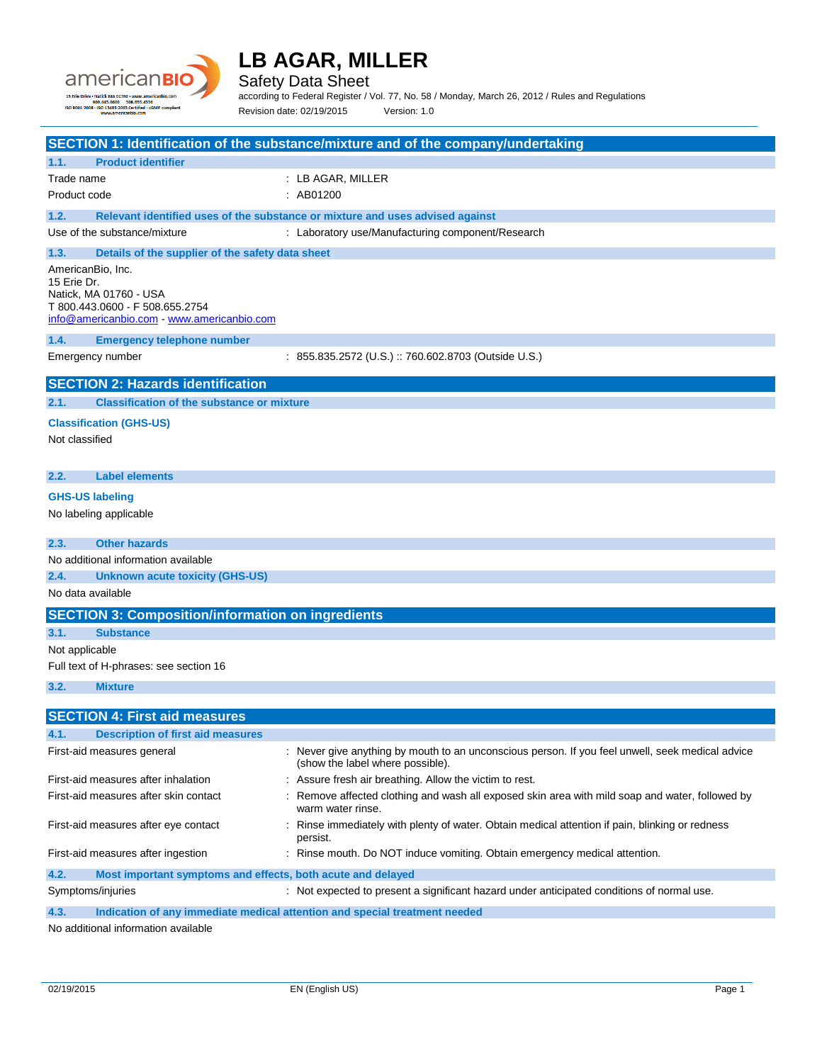

Safety Data Sheet

according to Federal Register / Vol. 77, No. 58 / Monday, March 26, 2012 / Rules and Regulations Revision date: 02/19/2015 Version: 1.0

|                                                                                                                                           | SECTION 1: Identification of the substance/mixture and of the company/undertaking                                                    |
|-------------------------------------------------------------------------------------------------------------------------------------------|--------------------------------------------------------------------------------------------------------------------------------------|
| <b>Product identifier</b><br>1.1.                                                                                                         |                                                                                                                                      |
| Trade name                                                                                                                                | : LB AGAR, MILLER                                                                                                                    |
| Product code                                                                                                                              | : AB01200                                                                                                                            |
| 1.2.                                                                                                                                      | Relevant identified uses of the substance or mixture and uses advised against                                                        |
| Use of the substance/mixture                                                                                                              | : Laboratory use/Manufacturing component/Research                                                                                    |
| 1.3.<br>Details of the supplier of the safety data sheet                                                                                  |                                                                                                                                      |
| AmericanBio. Inc.<br>15 Erie Dr.<br>Natick, MA 01760 - USA<br>T 800.443.0600 - F 508.655.2754<br>info@americanbio.com www.americanbio.com |                                                                                                                                      |
| 1.4.<br><b>Emergency telephone number</b>                                                                                                 |                                                                                                                                      |
| Emergency number                                                                                                                          | : 855.835.2572 (U.S.) :: 760.602.8703 (Outside U.S.)                                                                                 |
| <b>SECTION 2: Hazards identification</b>                                                                                                  |                                                                                                                                      |
| <b>Classification of the substance or mixture</b><br>2.1.                                                                                 |                                                                                                                                      |
| <b>Classification (GHS-US)</b>                                                                                                            |                                                                                                                                      |
| Not classified                                                                                                                            |                                                                                                                                      |
| <b>Label elements</b><br>2.2.                                                                                                             |                                                                                                                                      |
| <b>GHS-US labeling</b>                                                                                                                    |                                                                                                                                      |
| No labeling applicable                                                                                                                    |                                                                                                                                      |
| <b>Other hazards</b><br>2.3.                                                                                                              |                                                                                                                                      |
| No additional information available                                                                                                       |                                                                                                                                      |
| 2.4.<br><b>Unknown acute toxicity (GHS-US)</b>                                                                                            |                                                                                                                                      |
| No data available                                                                                                                         |                                                                                                                                      |
| <b>SECTION 3: Composition/information on ingredients</b>                                                                                  |                                                                                                                                      |
| <b>Substance</b><br>3.1.                                                                                                                  |                                                                                                                                      |
| Not applicable                                                                                                                            |                                                                                                                                      |
| Full text of H-phrases: see section 16                                                                                                    |                                                                                                                                      |
| 3.2.<br><b>Mixture</b>                                                                                                                    |                                                                                                                                      |
| <b>SECTION 4: First aid measures</b>                                                                                                      |                                                                                                                                      |
| 4.1.<br><b>Description of first aid measures</b>                                                                                          |                                                                                                                                      |
| First-aid measures general                                                                                                                | : Never give anything by mouth to an unconscious person. If you feel unwell, seek medical advice<br>(show the label where possible). |
| First-aid measures after inhalation                                                                                                       | : Assure fresh air breathing. Allow the victim to rest.                                                                              |
| First-aid measures after skin contact                                                                                                     | Remove affected clothing and wash all exposed skin area with mild soap and water, followed by<br>warm water rinse.                   |
| First-aid measures after eye contact                                                                                                      | : Rinse immediately with plenty of water. Obtain medical attention if pain, blinking or redness<br>persist.                          |
| First-aid measures after ingestion                                                                                                        | : Rinse mouth. Do NOT induce vomiting. Obtain emergency medical attention.                                                           |
| 4.2.<br>Most important symptoms and effects, both acute and delayed                                                                       |                                                                                                                                      |
| Symptoms/injuries                                                                                                                         | : Not expected to present a significant hazard under anticipated conditions of normal use.                                           |
| Indication of any immediate medical attention and special treatment needed<br>4.3.                                                        |                                                                                                                                      |

No additional information available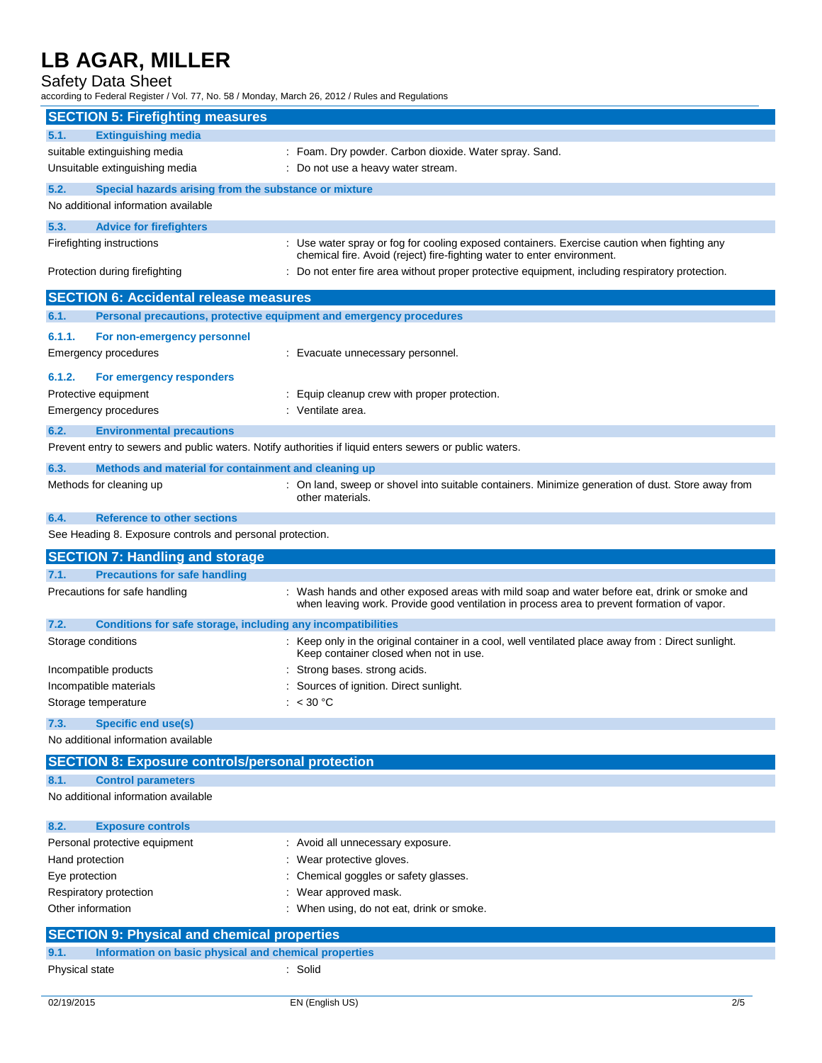Safety Data Sheet

according to Federal Register / Vol. 77, No. 58 / Monday, March 26, 2012 / Rules and Regulations

| <b>SECTION 5: Firefighting measures</b>                                         |                                                                                                                                                                                            |
|---------------------------------------------------------------------------------|--------------------------------------------------------------------------------------------------------------------------------------------------------------------------------------------|
| <b>Extinguishing media</b><br>5.1.                                              |                                                                                                                                                                                            |
| suitable extinguishing media                                                    | : Foam. Dry powder. Carbon dioxide. Water spray. Sand.                                                                                                                                     |
| Unsuitable extinguishing media                                                  | : Do not use a heavy water stream.                                                                                                                                                         |
| 5.2.<br>Special hazards arising from the substance or mixture                   |                                                                                                                                                                                            |
| No additional information available                                             |                                                                                                                                                                                            |
| 5.3.<br><b>Advice for firefighters</b>                                          |                                                                                                                                                                                            |
| Firefighting instructions                                                       | : Use water spray or fog for cooling exposed containers. Exercise caution when fighting any                                                                                                |
| Protection during firefighting                                                  | chemical fire. Avoid (reject) fire-fighting water to enter environment.<br>: Do not enter fire area without proper protective equipment, including respiratory protection.                 |
| <b>SECTION 6: Accidental release measures</b>                                   |                                                                                                                                                                                            |
| 6.1.                                                                            | Personal precautions, protective equipment and emergency procedures                                                                                                                        |
| 6.1.1.<br>For non-emergency personnel                                           |                                                                                                                                                                                            |
| Emergency procedures                                                            | : Evacuate unnecessary personnel.                                                                                                                                                          |
| 6.1.2.<br>For emergency responders                                              |                                                                                                                                                                                            |
| Protective equipment                                                            | : Equip cleanup crew with proper protection.                                                                                                                                               |
| <b>Emergency procedures</b>                                                     | : Ventilate area.                                                                                                                                                                          |
| 6.2.<br><b>Environmental precautions</b>                                        |                                                                                                                                                                                            |
|                                                                                 | Prevent entry to sewers and public waters. Notify authorities if liquid enters sewers or public waters.                                                                                    |
| 6.3.<br>Methods and material for containment and cleaning up                    |                                                                                                                                                                                            |
| Methods for cleaning up                                                         | : On land, sweep or shovel into suitable containers. Minimize generation of dust. Store away from                                                                                          |
|                                                                                 | other materials.                                                                                                                                                                           |
| <b>Reference to other sections</b><br>6.4.                                      |                                                                                                                                                                                            |
| See Heading 8. Exposure controls and personal protection.                       |                                                                                                                                                                                            |
|                                                                                 |                                                                                                                                                                                            |
| <b>SECTION 7: Handling and storage</b>                                          |                                                                                                                                                                                            |
| 7.1.<br><b>Precautions for safe handling</b>                                    |                                                                                                                                                                                            |
| Precautions for safe handling                                                   | : Wash hands and other exposed areas with mild soap and water before eat, drink or smoke and<br>when leaving work. Provide good ventilation in process area to prevent formation of vapor. |
| Conditions for safe storage, including any incompatibilities<br>7.2.            |                                                                                                                                                                                            |
| Storage conditions                                                              | : Keep only in the original container in a cool, well ventilated place away from : Direct sunlight.<br>Keep container closed when not in use.                                              |
| Incompatible products                                                           | : Strong bases. strong acids.                                                                                                                                                              |
| Incompatible materials                                                          | : Sources of ignition. Direct sunlight.                                                                                                                                                    |
| Storage temperature                                                             | : < 30 °C                                                                                                                                                                                  |
| 7.3.<br><b>Specific end use(s)</b>                                              |                                                                                                                                                                                            |
| No additional information available                                             |                                                                                                                                                                                            |
| <b>SECTION 8: Exposure controls/personal protection</b>                         |                                                                                                                                                                                            |
| <b>Control parameters</b><br>8.1.                                               |                                                                                                                                                                                            |
| No additional information available                                             |                                                                                                                                                                                            |
| 8.2.<br><b>Exposure controls</b>                                                |                                                                                                                                                                                            |
| Personal protective equipment                                                   | : Avoid all unnecessary exposure.                                                                                                                                                          |
| Hand protection                                                                 | : Wear protective gloves.                                                                                                                                                                  |
| Eye protection                                                                  | Chemical goggles or safety glasses.                                                                                                                                                        |
| Respiratory protection                                                          | Wear approved mask.                                                                                                                                                                        |
| Other information                                                               | : When using, do not eat, drink or smoke.                                                                                                                                                  |
| <b>SECTION 9: Physical and chemical properties</b>                              |                                                                                                                                                                                            |
| 9.1.<br>Information on basic physical and chemical properties<br>Physical state | : Solid                                                                                                                                                                                    |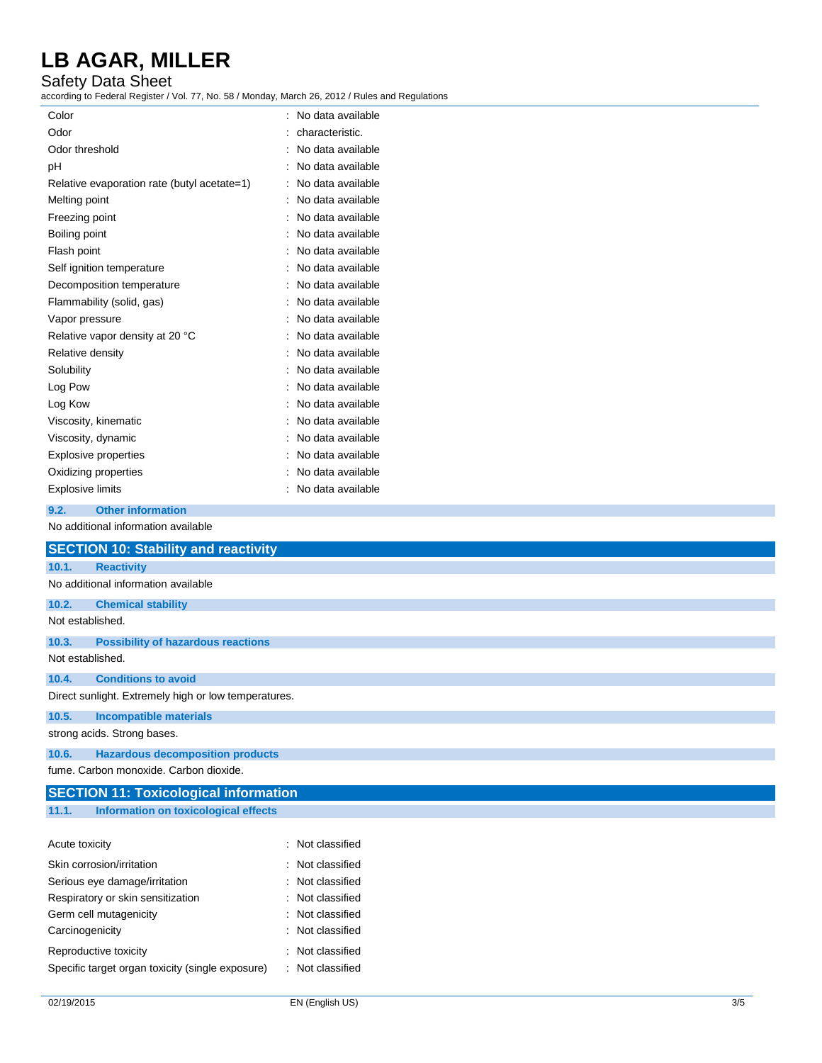#### Safety Data Sheet

according to Federal Register / Vol. 77, No. 58 / Monday, March 26, 2012 / Rules and Regulations

| Color                                       | ۰ | No data available |
|---------------------------------------------|---|-------------------|
| Odor                                        |   | characteristic.   |
| Odor threshold                              |   | No data available |
| рH                                          |   | No data available |
| Relative evaporation rate (butyl acetate=1) |   | No data available |
| Melting point                               |   | No data available |
| Freezing point                              |   | No data available |
| Boiling point                               |   | No data available |
| Flash point                                 |   | No data available |
| Self ignition temperature                   |   | No data available |
| Decomposition temperature                   |   | No data available |
| Flammability (solid, gas)                   |   | No data available |
| Vapor pressure                              |   | No data available |
| Relative vapor density at 20 °C             |   | No data available |
| Relative density                            |   | No data available |
| Solubility                                  |   | No data available |
| Log Pow                                     |   | No data available |
| Log Kow                                     |   | No data available |
| Viscosity, kinematic                        |   | No data available |
| Viscosity, dynamic                          |   | No data available |
| Explosive properties                        |   | No data available |
| Oxidizing properties                        |   | No data available |
| <b>Explosive limits</b>                     |   | No data available |
| 9.2.<br><b>Other information</b>            |   |                   |
| No additional information available         |   |                   |

|       | <b>SECTION 10: Stability and reactivity</b>          |
|-------|------------------------------------------------------|
| 10.1. | <b>Reactivity</b>                                    |
|       | No additional information available                  |
| 10.2. | <b>Chemical stability</b>                            |
|       | Not established.                                     |
| 10.3. | <b>Possibility of hazardous reactions</b>            |
|       | Not established.                                     |
| 10.4. | <b>Conditions to avoid</b>                           |
|       | Direct sunlight. Extremely high or low temperatures. |
| 10.5. | <b>Incompatible materials</b>                        |
|       | strong acids. Strong bases.                          |
| 10.6. | <b>Hazardous decomposition products</b>              |
|       | fume. Carbon monoxide. Carbon dioxide.               |
|       | <b>SECTION 11: Toxicological information</b>         |
| 11.1. | Information on toxicological effects                 |

| Acute toxicity                                   | : Not classified |
|--------------------------------------------------|------------------|
| Skin corrosion/irritation                        | : Not classified |
| Serious eye damage/irritation                    | : Not classified |
| Respiratory or skin sensitization                | : Not classified |
| Germ cell mutagenicity                           | : Not classified |
| Carcinogenicity                                  | : Not classified |
| Reproductive toxicity                            | Not classified   |
| Specific target organ toxicity (single exposure) | : Not classified |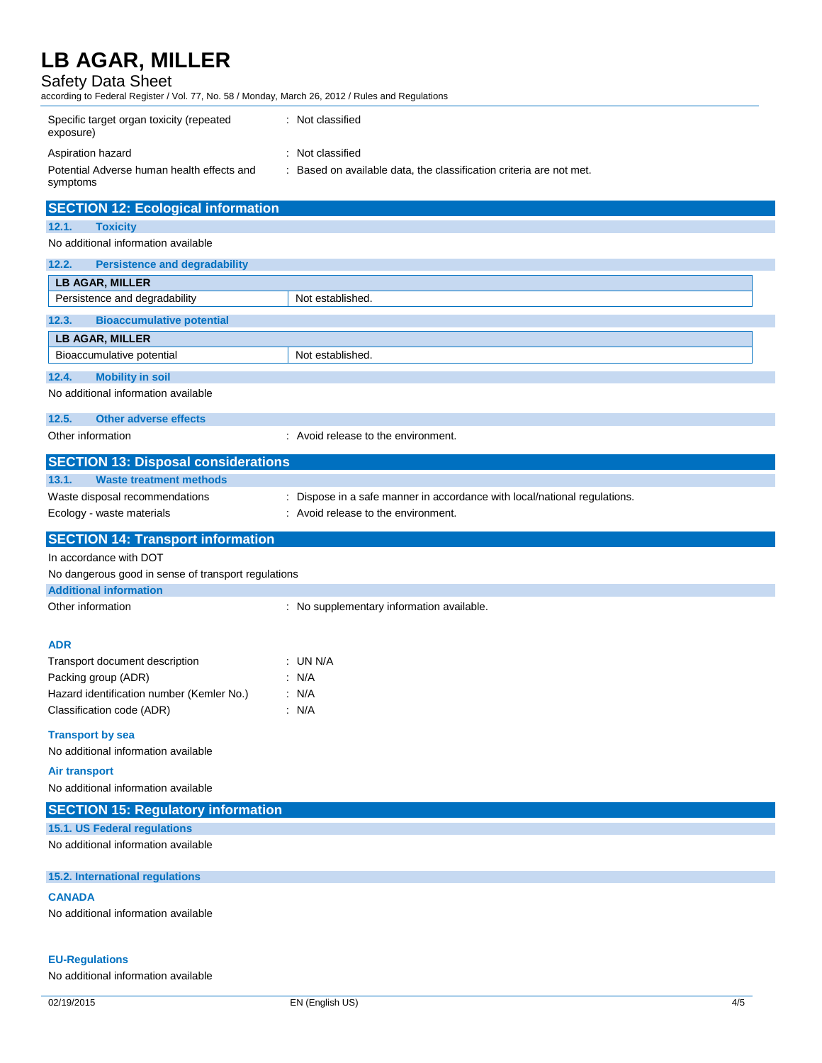### Safety Data Sheet

according to Federal Register / Vol. 77, No. 58 / Monday, March 26, 2012 / Rules and Regulations

| Specific target organ toxicity (repeated<br>exposure)  | Not classified                                                    |
|--------------------------------------------------------|-------------------------------------------------------------------|
| Aspiration hazard                                      | : Not classified                                                  |
| Potential Adverse human health effects and<br>symptoms | Based on available data, the classification criteria are not met. |

|                   | <b>SECTION 12: Ecological information</b> |                                     |  |  |
|-------------------|-------------------------------------------|-------------------------------------|--|--|
| 12.1.             | <b>Toxicity</b>                           |                                     |  |  |
|                   | No additional information available       |                                     |  |  |
| 12.2.             | <b>Persistence and degradability</b>      |                                     |  |  |
|                   | <b>LB AGAR, MILLER</b>                    |                                     |  |  |
|                   | Persistence and degradability             | Not established.                    |  |  |
| 12.3.             | <b>Bioaccumulative potential</b>          |                                     |  |  |
|                   | <b>LB AGAR, MILLER</b>                    |                                     |  |  |
|                   | Bioaccumulative potential                 | Not established.                    |  |  |
| 12.4.             | <b>Mobility in soil</b>                   |                                     |  |  |
|                   | No additional information available       |                                     |  |  |
| 12.5.             | Other adverse effects                     |                                     |  |  |
| Other information |                                           | : Avoid release to the environment. |  |  |

| <b>SECTION 13: Disposal considerations</b>          |                                                                         |
|-----------------------------------------------------|-------------------------------------------------------------------------|
| <b>Waste treatment methods</b><br>13.1.             |                                                                         |
| Waste disposal recommendations                      | Dispose in a safe manner in accordance with local/national regulations. |
| Ecology - waste materials                           | : Avoid release to the environment.                                     |
| <b>SECTION 14: Transport information</b>            |                                                                         |
| In accordance with DOT                              |                                                                         |
| No dangerous good in sense of transport regulations |                                                                         |
| <b>Additional information</b>                       |                                                                         |
| Other information                                   | : No supplementary information available.                               |
| <b>ADR</b>                                          |                                                                         |
| Transport document description                      | $:$ UN N/A                                                              |
| Packing group (ADR)                                 | : N/A                                                                   |
| Hazard identification number (Kemler No.)           | : N/A                                                                   |
| Classification code (ADR)                           | : N/A                                                                   |
| <b>Transport by sea</b>                             |                                                                         |
| No additional information available                 |                                                                         |
| <b>Air transport</b>                                |                                                                         |
| No additional information available                 |                                                                         |
| <b>SECTION 15: Regulatory information</b>           |                                                                         |
| 15.1. US Federal regulations                        |                                                                         |
| No additional information available                 |                                                                         |
| 15.2. International regulations                     |                                                                         |
| <b>CANADA</b>                                       |                                                                         |
| No additional information available                 |                                                                         |

#### **EU-Regulations**

No additional information available